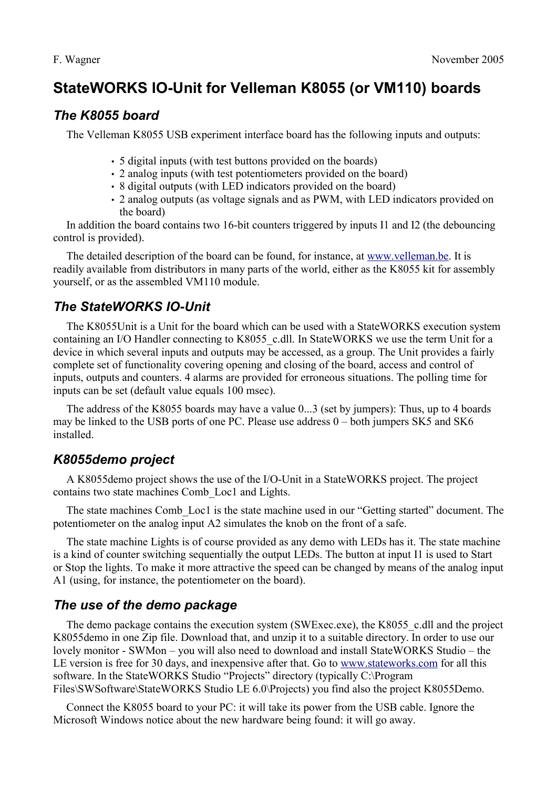# **StateWORKS IO-Unit for Velleman K8055 (or VM110) boards**

#### *The K8055 board*

The Velleman K8055 USB experiment interface board has the following inputs and outputs:

- 5 digital inputs (with test buttons provided on the boards)
- 2 analog inputs (with test potentiometers provided on the board)
- 8 digital outputs (with LED indicators provided on the board)
- 2 analog outputs (as voltage signals and as PWM, with LED indicators provided on the board)

In addition the board contains two 16-bit counters triggered by inputs I1 and I2 (the debouncing control is provided).

The detailed description of the board can be found, for instance, at [www.velleman.be](http://www.velleman.be/). It is readily available from distributors in many parts of the world, either as the K8055 kit for assembly yourself, or as the assembled VM110 module.

## *The StateWORKS IO-Unit*

The K8055Unit is a Unit for the board which can be used with a StateWORKS execution system containing an I/O Handler connecting to K8055 c.dll. In StateWORKS we use the term Unit for a device in which several inputs and outputs may be accessed, as a group. The Unit provides a fairly complete set of functionality covering opening and closing of the board, access and control of inputs, outputs and counters. 4 alarms are provided for erroneous situations. The polling time for inputs can be set (default value equals 100 msec).

The address of the K8055 boards may have a value 0...3 (set by jumpers): Thus, up to 4 boards may be linked to the USB ports of one PC. Please use address 0 – both jumpers SK5 and SK6 installed.

## *K8055demo project*

A K8055demo project shows the use of the I/O-Unit in a StateWORKS project. The project contains two state machines Comb\_Loc1 and Lights.

The state machines Comb\_Loc1 is the state machine used in our "Getting started" document. The potentiometer on the analog input A2 simulates the knob on the front of a safe.

The state machine Lights is of course provided as any demo with LEDs has it. The state machine is a kind of counter switching sequentially the output LEDs. The button at input I1 is used to Start or Stop the lights. To make it more attractive the speed can be changed by means of the analog input A1 (using, for instance, the potentiometer on the board).

## *The use of the demo package*

The demo package contains the execution system (SWExec.exe), the K8055 c.dll and the project K8055demo in one Zip file. Download that, and unzip it to a suitable directory. In order to use our lovely monitor - SWMon – you will also need to download and install StateWORKS Studio – the LE version is free for 30 days, and inexpensive after that. Go to [www.stateworks.com](http://www.stateworks.com/) for all this software. In the StateWORKS Studio "Projects" directory (typically C:\Program Files\SWSoftware\StateWORKS Studio LE 6.0\Projects) you find also the project K8055Demo.

Connect the K8055 board to your PC: it will take its power from the USB cable. Ignore the Microsoft Windows notice about the new hardware being found: it will go away.